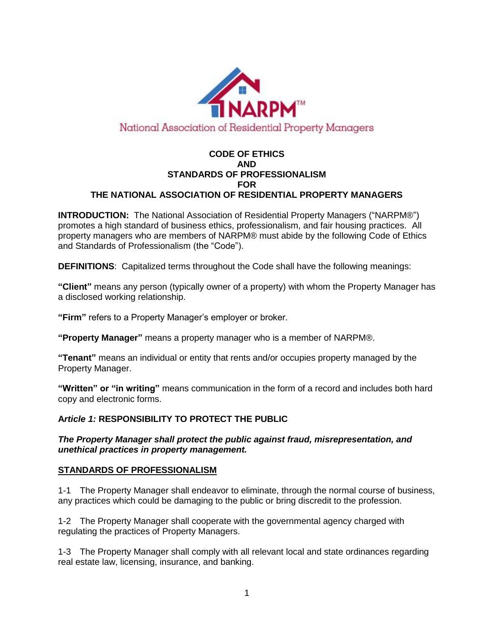

### **CODE OF ETHICS AND STANDARDS OF PROFESSIONALISM FOR THE NATIONAL ASSOCIATION OF RESIDENTIAL PROPERTY MANAGERS**

**INTRODUCTION:** The National Association of Residential Property Managers ("NARPM®") promotes a high standard of business ethics, professionalism, and fair housing practices. All property managers who are members of NARPM® must abide by the following Code of Ethics and Standards of Professionalism (the "Code").

**DEFINITIONS**: Capitalized terms throughout the Code shall have the following meanings:

**"Client"** means any person (typically owner of a property) with whom the Property Manager has a disclosed working relationship.

**"Firm"** refers to a Property Manager's employer or broker.

**"Property Manager"** means a property manager who is a member of NARPM®.

**"Tenant"** means an individual or entity that rents and/or occupies property managed by the Property Manager.

**"Written" or "in writing"** means communication in the form of a record and includes both hard copy and electronic forms.

### **A***rticle 1:* **RESPONSIBILITY TO PROTECT THE PUBLIC**

*The Property Manager shall protect the public against fraud, misrepresentation, and unethical practices in property management.*

### **STANDARDS OF PROFESSIONALISM**

1-1 The Property Manager shall endeavor to eliminate, through the normal course of business, any practices which could be damaging to the public or bring discredit to the profession.

1-2 The Property Manager shall cooperate with the governmental agency charged with regulating the practices of Property Managers.

1-3 The Property Manager shall comply with all relevant local and state ordinances regarding real estate law, licensing, insurance, and banking.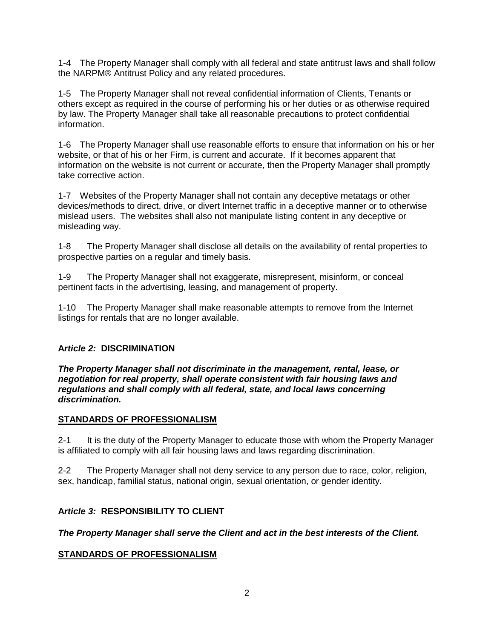1-4 The Property Manager shall comply with all federal and state antitrust laws and shall follow the NARPM® Antitrust Policy and any related procedures.

1-5 The Property Manager shall not reveal confidential information of Clients, Tenants or others except as required in the course of performing his or her duties or as otherwise required by law. The Property Manager shall take all reasonable precautions to protect confidential information.

1-6 The Property Manager shall use reasonable efforts to ensure that information on his or her website, or that of his or her Firm, is current and accurate. If it becomes apparent that information on the website is not current or accurate, then the Property Manager shall promptly take corrective action.

1-7 Websites of the Property Manager shall not contain any deceptive metatags or other devices/methods to direct, drive, or divert Internet traffic in a deceptive manner or to otherwise mislead users. The websites shall also not manipulate listing content in any deceptive or misleading way.

1-8 The Property Manager shall disclose all details on the availability of rental properties to prospective parties on a regular and timely basis.

1-9 The Property Manager shall not exaggerate, misrepresent, misinform, or conceal pertinent facts in the advertising, leasing, and management of property.

1-10 The Property Manager shall make reasonable attempts to remove from the Internet listings for rentals that are no longer available.

## **A***rticle 2:* **DISCRIMINATION**

*The Property Manager shall not discriminate in the management, rental, lease, or negotiation for real property, shall operate consistent with fair housing laws and regulations and shall comply with all federal, state, and local laws concerning discrimination.* 

### **STANDARDS OF PROFESSIONALISM**

2-1 It is the duty of the Property Manager to educate those with whom the Property Manager is affiliated to comply with all fair housing laws and laws regarding discrimination.

2-2 The Property Manager shall not deny service to any person due to race, color, religion, sex, handicap, familial status, national origin, sexual orientation, or gender identity.

### **A***rticle 3:* **RESPONSIBILITY TO CLIENT**

### *The Property Manager shall serve the Client and act in the best interests of the Client.*

### **STANDARDS OF PROFESSIONALISM**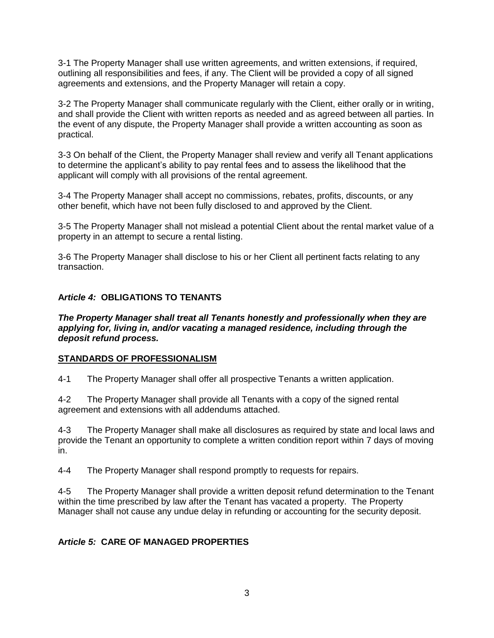3-1 The Property Manager shall use written agreements, and written extensions, if required, outlining all responsibilities and fees, if any. The Client will be provided a copy of all signed agreements and extensions, and the Property Manager will retain a copy.

3-2 The Property Manager shall communicate regularly with the Client, either orally or in writing, and shall provide the Client with written reports as needed and as agreed between all parties. In the event of any dispute, the Property Manager shall provide a written accounting as soon as practical.

3-3 On behalf of the Client, the Property Manager shall review and verify all Tenant applications to determine the applicant's ability to pay rental fees and to assess the likelihood that the applicant will comply with all provisions of the rental agreement.

3-4 The Property Manager shall accept no commissions, rebates, profits, discounts, or any other benefit, which have not been fully disclosed to and approved by the Client.

3-5 The Property Manager shall not mislead a potential Client about the rental market value of a property in an attempt to secure a rental listing.

3-6 The Property Manager shall disclose to his or her Client all pertinent facts relating to any transaction.

### **A***rticle 4:* **OBLIGATIONS TO TENANTS**

*The Property Manager shall treat all Tenants honestly and professionally when they are applying for, living in, and/or vacating a managed residence, including through the deposit refund process.* 

### **STANDARDS OF PROFESSIONALISM**

4-1 The Property Manager shall offer all prospective Tenants a written application.

4-2 The Property Manager shall provide all Tenants with a copy of the signed rental agreement and extensions with all addendums attached.

4-3 The Property Manager shall make all disclosures as required by state and local laws and provide the Tenant an opportunity to complete a written condition report within 7 days of moving in.

4-4 The Property Manager shall respond promptly to requests for repairs.

4-5 The Property Manager shall provide a written deposit refund determination to the Tenant within the time prescribed by law after the Tenant has vacated a property. The Property Manager shall not cause any undue delay in refunding or accounting for the security deposit.

### **A***rticle 5:* **CARE OF MANAGED PROPERTIES**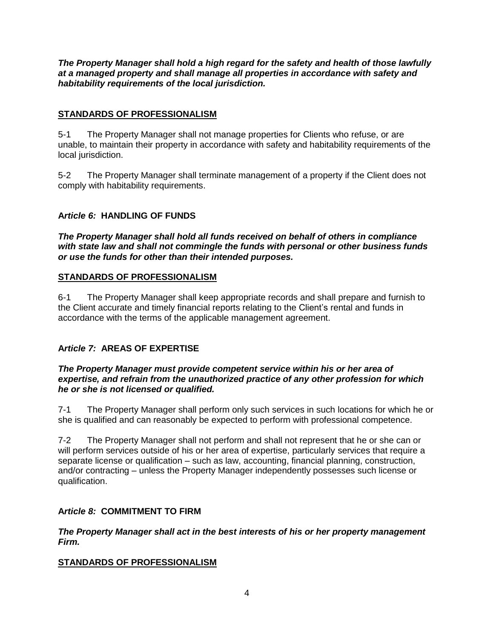*The Property Manager shall hold a high regard for the safety and health of those lawfully at a managed property and shall manage all properties in accordance with safety and habitability requirements of the local jurisdiction.*

### **STANDARDS OF PROFESSIONALISM**

5-1 The Property Manager shall not manage properties for Clients who refuse, or are unable, to maintain their property in accordance with safety and habitability requirements of the local jurisdiction.

5-2 The Property Manager shall terminate management of a property if the Client does not comply with habitability requirements.

### **A***rticle 6:* **HANDLING OF FUNDS**

*The Property Manager shall hold all funds received on behalf of others in compliance with state law and shall not commingle the funds with personal or other business funds or use the funds for other than their intended purposes.*

### **STANDARDS OF PROFESSIONALISM**

6-1 The Property Manager shall keep appropriate records and shall prepare and furnish to the Client accurate and timely financial reports relating to the Client's rental and funds in accordance with the terms of the applicable management agreement.

## **A***rticle 7:* **AREAS OF EXPERTISE**

#### *The Property Manager must provide competent service within his or her area of expertise, and refrain from the unauthorized practice of any other profession for which he or she is not licensed or qualified.*

7-1 The Property Manager shall perform only such services in such locations for which he or she is qualified and can reasonably be expected to perform with professional competence.

7-2 The Property Manager shall not perform and shall not represent that he or she can or will perform services outside of his or her area of expertise, particularly services that require a separate license or qualification – such as law, accounting, financial planning, construction, and/or contracting – unless the Property Manager independently possesses such license or qualification.

### **A***rticle 8:* **COMMITMENT TO FIRM**

*The Property Manager shall act in the best interests of his or her property management Firm.*

### **STANDARDS OF PROFESSIONALISM**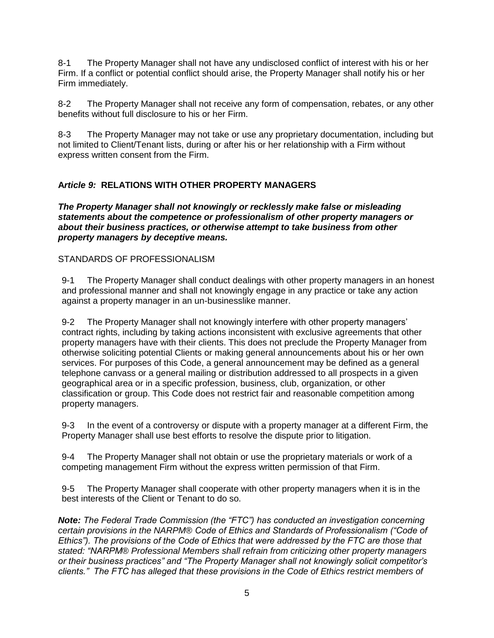8-1 The Property Manager shall not have any undisclosed conflict of interest with his or her Firm. If a conflict or potential conflict should arise, the Property Manager shall notify his or her Firm immediately.

8-2 The Property Manager shall not receive any form of compensation, rebates, or any other benefits without full disclosure to his or her Firm.

8-3 The Property Manager may not take or use any proprietary documentation, including but not limited to Client/Tenant lists, during or after his or her relationship with a Firm without express written consent from the Firm.

## **A***rticle 9:* **RELATIONS WITH OTHER PROPERTY MANAGERS**

*The Property Manager shall not knowingly or recklessly make false or misleading statements about the competence or professionalism of other property managers or about their business practices, or otherwise attempt to take business from other property managers by deceptive means.*

### STANDARDS OF PROFESSIONALISM

9-1 The Property Manager shall conduct dealings with other property managers in an honest and professional manner and shall not knowingly engage in any practice or take any action against a property manager in an un-businesslike manner.

9-2 The Property Manager shall not knowingly interfere with other property managers' contract rights, including by taking actions inconsistent with exclusive agreements that other property managers have with their clients. This does not preclude the Property Manager from otherwise soliciting potential Clients or making general announcements about his or her own services. For purposes of this Code, a general announcement may be defined as a general telephone canvass or a general mailing or distribution addressed to all prospects in a given geographical area or in a specific profession, business, club, organization, or other classification or group. This Code does not restrict fair and reasonable competition among property managers.

9-3 In the event of a controversy or dispute with a property manager at a different Firm, the Property Manager shall use best efforts to resolve the dispute prior to litigation.

9-4 The Property Manager shall not obtain or use the proprietary materials or work of a competing management Firm without the express written permission of that Firm.

9-5 The Property Manager shall cooperate with other property managers when it is in the best interests of the Client or Tenant to do so.

*Note: The Federal Trade Commission (the "FTC") has conducted an investigation concerning certain provisions in the NARPM*® *Code of Ethics and Standards of Professionalism ("Code of Ethics"). The provisions of the Code of Ethics that were addressed by the FTC are those that stated: "NARPM*® *Professional Members shall refrain from criticizing other property managers or their business practices" and "The Property Manager shall not knowingly solicit competitor's clients." The FTC has alleged that these provisions in the Code of Ethics restrict members of*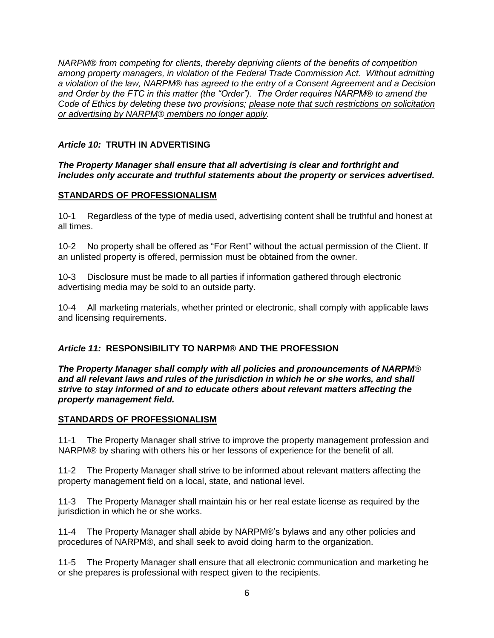*NARPM*® *from competing for clients, thereby depriving clients of the benefits of competition among property managers, in violation of the Federal Trade Commission Act. Without admitting a violation of the law, NARPM*® *has agreed to the entry of a Consent Agreement and a Decision and Order by the FTC in this matter (the "Order"). The Order requires NARPM*® *to amend the Code of Ethics by deleting these two provisions; please note that such restrictions on solicitation or advertising by NARPM*® *members no longer apply.* 

## *Article 10:* **TRUTH IN ADVERTISING**

### *The Property Manager shall ensure that all advertising is clear and forthright and includes only accurate and truthful statements about the property or services advertised.*

# **STANDARDS OF PROFESSIONALISM**

10-1 Regardless of the type of media used, advertising content shall be truthful and honest at all times.

10-2 No property shall be offered as "For Rent" without the actual permission of the Client. If an unlisted property is offered, permission must be obtained from the owner.

10-3 Disclosure must be made to all parties if information gathered through electronic advertising media may be sold to an outside party.

10-4 All marketing materials, whether printed or electronic, shall comply with applicable laws and licensing requirements.

## *Article 11:* **RESPONSIBILITY TO NARPM® AND THE PROFESSION**

*The Property Manager shall comply with all policies and pronouncements of NARPM*® *and all relevant laws and rules of the jurisdiction in which he or she works, and shall strive to stay informed of and to educate others about relevant matters affecting the property management field.*

## **STANDARDS OF PROFESSIONALISM**

11-1 The Property Manager shall strive to improve the property management profession and NARPM® by sharing with others his or her lessons of experience for the benefit of all.

11-2 The Property Manager shall strive to be informed about relevant matters affecting the property management field on a local, state, and national level.

11-3 The Property Manager shall maintain his or her real estate license as required by the jurisdiction in which he or she works.

11-4 The Property Manager shall abide by NARPM®'s bylaws and any other policies and procedures of NARPM®, and shall seek to avoid doing harm to the organization.

11-5 The Property Manager shall ensure that all electronic communication and marketing he or she prepares is professional with respect given to the recipients.